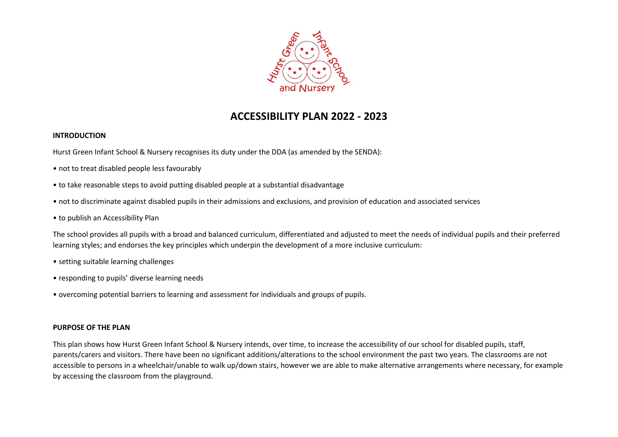

# **ACCESSIBILITY PLAN 2022 - 2023**

### **INTRODUCTION**

Hurst Green Infant School & Nursery recognises its duty under the DDA (as amended by the SENDA):

- not to treat disabled people less favourably
- to take reasonable steps to avoid putting disabled people at a substantial disadvantage
- not to discriminate against disabled pupils in their admissions and exclusions, and provision of education and associated services
- to publish an Accessibility Plan

The school provides all pupils with a broad and balanced curriculum, differentiated and adjusted to meet the needs of individual pupils and their preferred learning styles; and endorses the key principles which underpin the development of a more inclusive curriculum:

- setting suitable learning challenges
- responding to pupils' diverse learning needs
- overcoming potential barriers to learning and assessment for individuals and groups of pupils.

### **PURPOSE OF THE PLAN**

This plan shows how Hurst Green Infant School & Nursery intends, over time, to increase the accessibility of our school for disabled pupils, staff, parents/carers and visitors. There have been no significant additions/alterations to the school environment the past two years. The classrooms are not accessible to persons in a wheelchair/unable to walk up/down stairs, however we are able to make alternative arrangements where necessary, for example by accessing the classroom from the playground.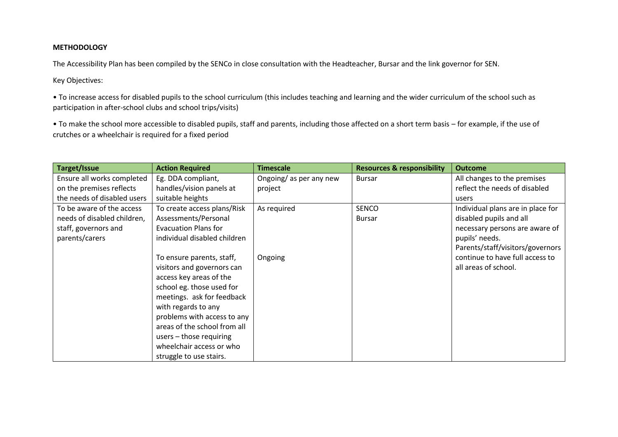## **METHODOLOGY**

The Accessibility Plan has been compiled by the SENCo in close consultation with the Headteacher, Bursar and the link governor for SEN.

Key Objectives:

• To increase access for disabled pupils to the school curriculum (this includes teaching and learning and the wider curriculum of the school such as participation in after-school clubs and school trips/visits)

• To make the school more accessible to disabled pupils, staff and parents, including those affected on a short term basis – for example, if the use of crutches or a wheelchair is required for a fixed period

| Target/Issue                | <b>Action Required</b>       | <b>Timescale</b>        | <b>Resources &amp; responsibility</b> | <b>Outcome</b>                    |
|-----------------------------|------------------------------|-------------------------|---------------------------------------|-----------------------------------|
| Ensure all works completed  | Eg. DDA compliant,           | Ongoing/ as per any new | <b>Bursar</b>                         | All changes to the premises       |
| on the premises reflects    | handles/vision panels at     | project                 |                                       | reflect the needs of disabled     |
| the needs of disabled users | suitable heights             |                         |                                       | users                             |
| To be aware of the access   | To create access plans/Risk  | As required             | <b>SENCO</b>                          | Individual plans are in place for |
| needs of disabled children, | Assessments/Personal         |                         | <b>Bursar</b>                         | disabled pupils and all           |
| staff, governors and        | <b>Evacuation Plans for</b>  |                         |                                       | necessary persons are aware of    |
| parents/carers              | individual disabled children |                         |                                       | pupils' needs.                    |
|                             |                              |                         |                                       | Parents/staff/visitors/governors  |
|                             | To ensure parents, staff,    | Ongoing                 |                                       | continue to have full access to   |
|                             | visitors and governors can   |                         |                                       | all areas of school.              |
|                             | access key areas of the      |                         |                                       |                                   |
|                             | school eg. those used for    |                         |                                       |                                   |
|                             | meetings. ask for feedback   |                         |                                       |                                   |
|                             | with regards to any          |                         |                                       |                                   |
|                             | problems with access to any  |                         |                                       |                                   |
|                             | areas of the school from all |                         |                                       |                                   |
|                             | users $-$ those requiring    |                         |                                       |                                   |
|                             | wheelchair access or who     |                         |                                       |                                   |
|                             | struggle to use stairs.      |                         |                                       |                                   |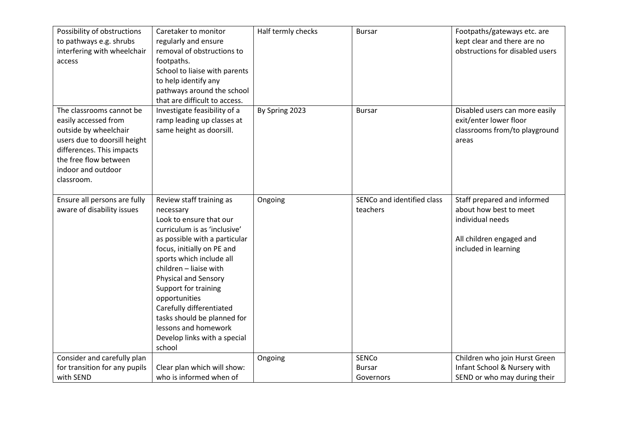| Possibility of obstructions<br>to pathways e.g. shrubs<br>interfering with wheelchair<br>access                                                                                                     | Caretaker to monitor<br>regularly and ensure<br>removal of obstructions to<br>footpaths.<br>School to liaise with parents<br>to help identify any<br>pathways around the school<br>that are difficult to access.                                                                                                                                                                                                           | Half termly checks | <b>Bursar</b>                              | Footpaths/gateways etc. are<br>kept clear and there are no<br>obstructions for disabled users                                 |
|-----------------------------------------------------------------------------------------------------------------------------------------------------------------------------------------------------|----------------------------------------------------------------------------------------------------------------------------------------------------------------------------------------------------------------------------------------------------------------------------------------------------------------------------------------------------------------------------------------------------------------------------|--------------------|--------------------------------------------|-------------------------------------------------------------------------------------------------------------------------------|
| The classrooms cannot be<br>easily accessed from<br>outside by wheelchair<br>users due to doorsill height<br>differences. This impacts<br>the free flow between<br>indoor and outdoor<br>classroom. | Investigate feasibility of a<br>ramp leading up classes at<br>same height as doorsill.                                                                                                                                                                                                                                                                                                                                     | By Spring 2023     | <b>Bursar</b>                              | Disabled users can more easily<br>exit/enter lower floor<br>classrooms from/to playground<br>areas                            |
| Ensure all persons are fully<br>aware of disability issues                                                                                                                                          | Review staff training as<br>necessary<br>Look to ensure that our<br>curriculum is as 'inclusive'<br>as possible with a particular<br>focus, initially on PE and<br>sports which include all<br>children - liaise with<br><b>Physical and Sensory</b><br>Support for training<br>opportunities<br>Carefully differentiated<br>tasks should be planned for<br>lessons and homework<br>Develop links with a special<br>school | Ongoing            | SENCo and identified class<br>teachers     | Staff prepared and informed<br>about how best to meet<br>individual needs<br>All children engaged and<br>included in learning |
| Consider and carefully plan<br>for transition for any pupils<br>with SEND                                                                                                                           | Clear plan which will show:<br>who is informed when of                                                                                                                                                                                                                                                                                                                                                                     | Ongoing            | <b>SENCo</b><br><b>Bursar</b><br>Governors | Children who join Hurst Green<br>Infant School & Nursery with<br>SEND or who may during their                                 |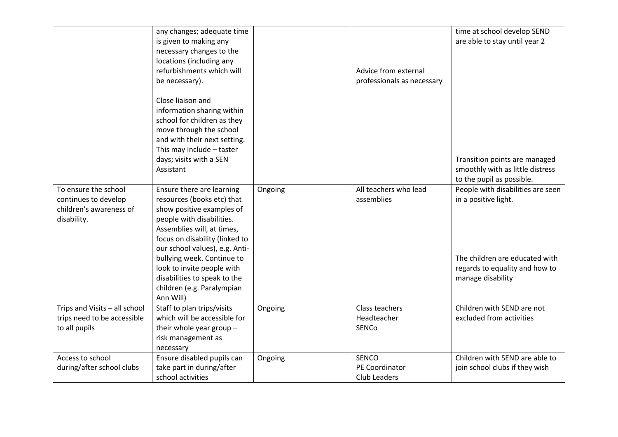|                                                                                        | any changes; adequate time<br>is given to making any<br>necessary changes to the<br>locations (including any<br>refurbishments which will<br>be necessary).                                                                                                                                                                                                |         | Advice from external<br>professionals as necessary | time at school develop SEND<br>are able to stay until year 2                                                                                                                    |
|----------------------------------------------------------------------------------------|------------------------------------------------------------------------------------------------------------------------------------------------------------------------------------------------------------------------------------------------------------------------------------------------------------------------------------------------------------|---------|----------------------------------------------------|---------------------------------------------------------------------------------------------------------------------------------------------------------------------------------|
|                                                                                        | Close liaison and<br>information sharing within<br>school for children as they<br>move through the school<br>and with their next setting.<br>This may include - taster                                                                                                                                                                                     |         |                                                    |                                                                                                                                                                                 |
|                                                                                        | days; visits with a SEN<br>Assistant                                                                                                                                                                                                                                                                                                                       |         |                                                    | Transition points are managed<br>smoothly with as little distress                                                                                                               |
| To ensure the school<br>continues to develop<br>children's awareness of<br>disability. | Ensure there are learning<br>resources (books etc) that<br>show positive examples of<br>people with disabilities.<br>Assemblies will, at times,<br>focus on disability (linked to<br>our school values), e.g. Anti-<br>bullying week. Continue to<br>look to invite people with<br>disabilities to speak to the<br>children (e.g. Paralympian<br>Ann Will) | Ongoing | All teachers who lead<br>assemblies                | to the pupil as possible.<br>People with disabilities are seen<br>in a positive light.<br>The children are educated with<br>regards to equality and how to<br>manage disability |
| Trips and Visits - all school<br>trips need to be accessible<br>to all pupils          | Staff to plan trips/visits<br>which will be accessible for<br>their whole year group -<br>risk management as<br>necessary                                                                                                                                                                                                                                  | Ongoing | Class teachers<br>Headteacher<br>SENCo             | Children with SEND are not<br>excluded from activities                                                                                                                          |
| Access to school<br>during/after school clubs                                          | Ensure disabled pupils can<br>take part in during/after<br>school activities                                                                                                                                                                                                                                                                               | Ongoing | SENCO<br>PE Coordinator<br><b>Club Leaders</b>     | Children with SEND are able to<br>join school clubs if they wish                                                                                                                |